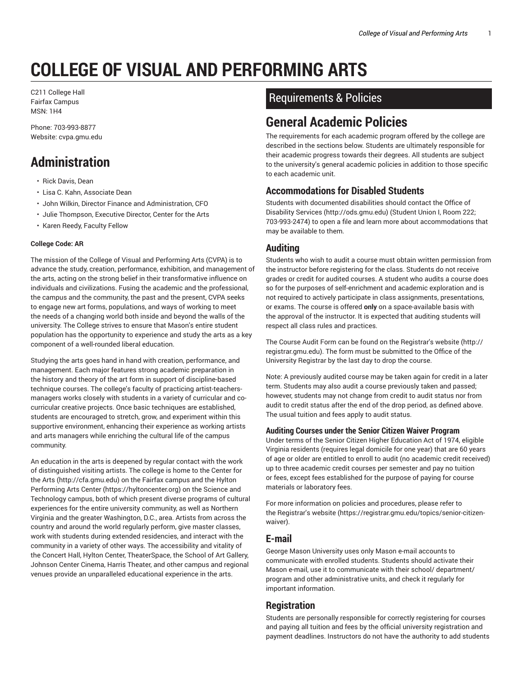# **COLLEGE OF VISUAL AND PERFORMING ARTS**

C211 College Hall Fairfax Campus MSN: 1H4

Phone: 703-993-8877 Website: cvpa.gmu.edu

# **Administration**

- Rick Davis, Dean
- Lisa C. Kahn, Associate Dean
- John Wilkin, Director Finance and Administration, CFO
- Julie Thompson, Executive Director, Center for the Arts
- Karen Reedy, Faculty Fellow

#### **College Code: AR**

The mission of the College of Visual and Performing Arts (CVPA) is to advance the study, creation, performance, exhibition, and management of the arts, acting on the strong belief in their transformative influence on individuals and civilizations. Fusing the academic and the professional, the campus and the community, the past and the present, CVPA seeks to engage new art forms, populations, and ways of working to meet the needs of a changing world both inside and beyond the walls of the university. The College strives to ensure that Mason's entire student population has the opportunity to experience and study the arts as a key component of a well-rounded liberal education.

Studying the arts goes hand in hand with creation, performance, and management. Each major features strong academic preparation in the history and theory of the art form in support of discipline-based technique courses. The college's faculty of practicing artist-teachersmanagers works closely with students in a variety of curricular and cocurricular creative projects. Once basic techniques are established, students are encouraged to stretch, grow, and experiment within this supportive environment, enhancing their experience as working artists and arts managers while enriching the cultural life of the campus community.

An education in the arts is deepened by regular contact with the work of distinguished visiting artists. The college is home to the Center for the Arts (http://cfa.gmu.edu) on the Fairfax campus and the Hylton Performing Arts Center (https://hyltoncenter.org) on the Science and Technology campus, both of which present diverse programs of cultural experiences for the entire university community, as well as Northern Virginia and the greater Washington, D.C., area. Artists from across the country and around the world regularly perform, give master classes, work with students during extended residencies, and interact with the community in a variety of other ways. The accessibility and vitality of the Concert Hall, Hylton Center, TheaterSpace, the School of Art Gallery, Johnson Center Cinema, Harris Theater, and other campus and regional venues provide an unparalleled educational experience in the arts.

## Requirements & Policies

# **General Academic Policies**

The requirements for each academic program offered by the college are described in the sections below. Students are ultimately responsible for their academic progress towards their degrees. All students are subject to the university's general academic policies in addition to those specific to each academic unit.

#### **Accommodations for Disabled Students**

Students with documented disabilities should contact the Office of Disability Services (http://ods.gmu.edu) (Student Union I, Room 222; 703-993-2474) to open a file and learn more about accommodations that may be available to them.

#### **Auditing**

Students who wish to audit a course must obtain written permission from the instructor before registering for the class. Students do not receive grades or credit for audited courses. A student who audits a course does so for the purposes of self-enrichment and academic exploration and is not required to actively participate in class assignments, presentations, or exams. The course is offered **only** on a space-available basis with the approval of the instructor. It is expected that auditing students will respect all class rules and practices.

The Course Audit Form can be found on the Registrar's website (http:// registrar.gmu.edu). The form must be submitted to the Office of the University Registrar by the last day to drop the course.

Note: A previously audited course may be taken again for credit in a later term. Students may also audit a course previously taken and passed; however, students may not change from credit to audit status nor from audit to credit status after the end of the drop period, as defined above. The usual tuition and fees apply to audit status.

#### **Auditing Courses under the Senior Citizen Waiver Program**

Under terms of the Senior Citizen Higher Education Act of 1974, eligible Virginia residents (requires legal domicile for one year) that are 60 years of age or older are entitled to enroll to audit (no academic credit received) up to three academic credit courses per semester and pay no tuition or fees, except fees established for the purpose of paying for course materials or laboratory fees.

For more information on policies and procedures, please refer to the Registrar's website (https://registrar.gmu.edu/topics/senior-citizenwaiver).

#### **E-mail**

George Mason University uses only Mason e-mail accounts to communicate with enrolled students. Students should activate their Mason e-mail, use it to communicate with their school/ department/ program and other administrative units, and check it regularly for important information.

#### **Registration**

Students are personally responsible for correctly registering for courses and paying all tuition and fees by the official university registration and payment deadlines. Instructors do not have the authority to add students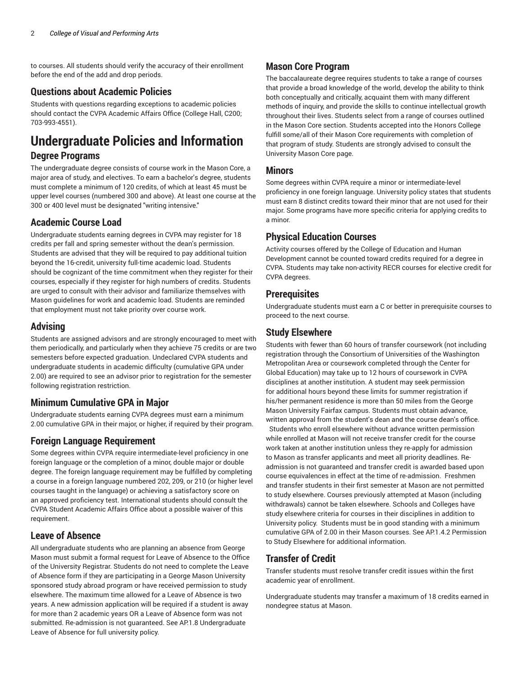to courses. All students should verify the accuracy of their enrollment before the end of the add and drop periods.

#### **Questions about Academic Policies**

Students with questions regarding exceptions to academic policies should contact the CVPA Academic Affairs Office (College Hall, C200; 703-993-4551).

# **Undergraduate Policies and Information Degree Programs**

The undergraduate degree consists of course work in the Mason Core, a major area of study, and electives. To earn a bachelor's degree, students must complete a minimum of 120 credits, of which at least 45 must be upper level courses (numbered 300 and above). At least one course at the 300 or 400 level must be designated "writing intensive."

#### **Academic Course Load**

Undergraduate students earning degrees in CVPA may register for 18 credits per fall and spring semester without the dean's permission. Students are advised that they will be required to pay additional tuition beyond the 16-credit, university full-time academic load. Students should be cognizant of the time commitment when they register for their courses, especially if they register for high numbers of credits. Students are urged to consult with their advisor and familiarize themselves with Mason guidelines for work and academic load. Students are reminded that employment must not take priority over course work.

#### **Advising**

Students are assigned advisors and are strongly encouraged to meet with them periodically, and particularly when they achieve 75 credits or are two semesters before expected graduation. Undeclared CVPA students and undergraduate students in academic difficulty (cumulative GPA under 2.00) are required to see an advisor prior to registration for the semester following registration restriction.

### **Minimum Cumulative GPA in Major**

Undergraduate students earning CVPA degrees must earn a minimum 2.00 cumulative GPA in their major, or higher, if required by their program.

#### **Foreign Language Requirement**

Some degrees within CVPA require intermediate-level proficiency in one foreign language or the completion of a minor, double major or double degree. The foreign language requirement may be fulfilled by completing a course in a foreign language numbered 202, 209, or 210 (or higher level courses taught in the language) or achieving a satisfactory score on an approved proficiency test. International students should consult the CVPA Student Academic Affairs Office about a possible waiver of this requirement.

#### **Leave of Absence**

All undergraduate students who are planning an absence from George Mason must submit a formal request for Leave of Absence to the Office of the University Registrar. Students do not need to complete the Leave of Absence form if they are participating in a George Mason University sponsored study abroad program or have received permission to study elsewhere. The maximum time allowed for a Leave of Absence is two years. A new admission application will be required if a student is away for more than 2 academic years OR a Leave of Absence form was not submitted. Re-admission is not guaranteed. See AP.1.8 Undergraduate Leave of Absence for full university policy.

#### **Mason Core Program**

The baccalaureate degree requires students to take a range of courses that provide a broad knowledge of the world, develop the ability to think both conceptually and critically, acquaint them with many different methods of inquiry, and provide the skills to continue intellectual growth throughout their lives. Students select from a range of courses outlined in the Mason Core section. Students accepted into the Honors College fulfill some/all of their Mason Core requirements with completion of that program of study. Students are strongly advised to consult the University Mason Core page.

#### **Minors**

Some degrees within CVPA require a minor or intermediate-level proficiency in one foreign language. University policy states that students must earn 8 distinct credits toward their minor that are not used for their major. Some programs have more specific criteria for applying credits to a minor.

#### **Physical Education Courses**

Activity courses offered by the College of Education and Human Development cannot be counted toward credits required for a degree in CVPA. Students may take non-activity RECR courses for elective credit for CVPA degrees.

#### **Prerequisites**

Undergraduate students must earn a C or better in prerequisite courses to proceed to the next course.

### **Study Elsewhere**

Students with fewer than 60 hours of transfer coursework (not including registration through the Consortium of Universities of the Washington Metropolitan Area or coursework completed through the Center for Global Education) may take up to 12 hours of coursework in CVPA disciplines at another institution. A student may seek permission for additional hours beyond these limits for summer registration if his/her permanent residence is more than 50 miles from the George Mason University Fairfax campus. Students must obtain advance, written approval from the student's dean and the course dean's office. Students who enroll elsewhere without advance written permission while enrolled at Mason will not receive transfer credit for the course

work taken at another institution unless they re-apply for admission to Mason as transfer applicants and meet all priority deadlines. Readmission is not guaranteed and transfer credit is awarded based upon course equivalences in effect at the time of re-admission. Freshmen and transfer students in their first semester at Mason are not permitted to study elsewhere. Courses previously attempted at Mason (including withdrawals) cannot be taken elsewhere. Schools and Colleges have study elsewhere criteria for courses in their disciplines in addition to University policy. Students must be in good standing with a minimum cumulative GPA of 2.00 in their Mason courses. See AP.1.4.2 Permission to Study Elsewhere for additional information.

#### **Transfer of Credit**

Transfer students must resolve transfer credit issues within the first academic year of enrollment.

Undergraduate students may transfer a maximum of 18 credits earned in nondegree status at Mason.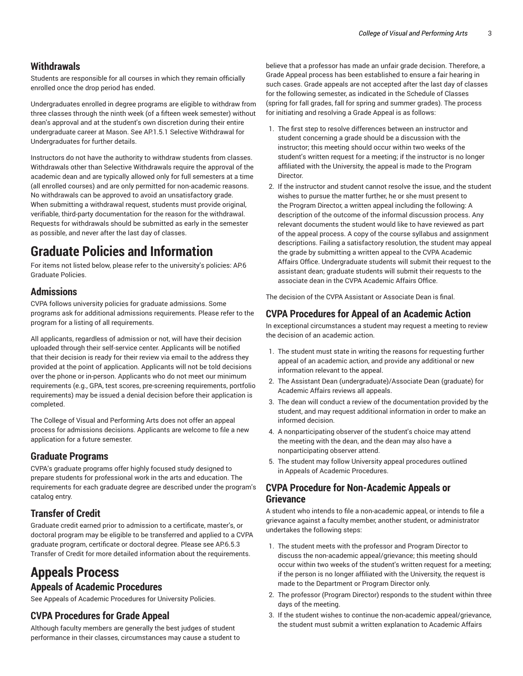#### **Withdrawals**

Students are responsible for all courses in which they remain officially enrolled once the drop period has ended.

Undergraduates enrolled in degree programs are eligible to withdraw from three classes through the ninth week (of a fifteen week semester) without dean's approval and at the student's own discretion during their entire undergraduate career at Mason. See AP.1.5.1 Selective Withdrawal for Undergraduates for further details.

Instructors do not have the authority to withdraw students from classes. Withdrawals other than Selective Withdrawals require the approval of the academic dean and are typically allowed only for full semesters at a time (all enrolled courses) and are only permitted for non-academic reasons. No withdrawals can be approved to avoid an unsatisfactory grade. When submitting a withdrawal request, students must provide original, verifiable, third-party documentation for the reason for the withdrawal. Requests for withdrawals should be submitted as early in the semester as possible, and never after the last day of classes.

# **Graduate Policies and Information**

For items not listed below, please refer to the university's policies: AP.6 Graduate Policies.

#### **Admissions**

CVPA follows university policies for graduate admissions. Some programs ask for additional admissions requirements. Please refer to the program for a listing of all requirements.

All applicants, regardless of admission or not, will have their decision uploaded through their self-service center. Applicants will be notified that their decision is ready for their review via email to the address they provided at the point of application. Applicants will not be told decisions over the phone or in-person. Applicants who do not meet our minimum requirements (e.g., GPA, test scores, pre-screening requirements, portfolio requirements) may be issued a denial decision before their application is completed.

The College of Visual and Performing Arts does not offer an appeal process for admissions decisions. Applicants are welcome to file a new application for a future semester.

#### **Graduate Programs**

CVPA's graduate programs offer highly focused study designed to prepare students for professional work in the arts and education. The requirements for each graduate degree are described under the program's catalog entry.

## **Transfer of Credit**

Graduate credit earned prior to admission to a certificate, master's, or doctoral program may be eligible to be transferred and applied to a CVPA graduate program, certificate or doctoral degree. Please see AP.6.5.3 Transfer of Credit for more detailed information about the requirements.

# **Appeals Process**

#### **Appeals of Academic Procedures**

See Appeals of Academic Procedures for University Policies.

### **CVPA Procedures for Grade Appeal**

Although faculty members are generally the best judges of student performance in their classes, circumstances may cause a student to

believe that a professor has made an unfair grade decision. Therefore, a Grade Appeal process has been established to ensure a fair hearing in such cases. Grade appeals are not accepted after the last day of classes for the following semester, as indicated in the Schedule of Classes (spring for fall grades, fall for spring and summer grades). The process for initiating and resolving a Grade Appeal is as follows:

- 1. The first step to resolve differences between an instructor and student concerning a grade should be a discussion with the instructor; this meeting should occur within two weeks of the student's written request for a meeting; if the instructor is no longer affiliated with the University, the appeal is made to the Program **Director**
- 2. If the instructor and student cannot resolve the issue, and the student wishes to pursue the matter further, he or she must present to the Program Director, a written appeal including the following: A description of the outcome of the informal discussion process. Any relevant documents the student would like to have reviewed as part of the appeal process. A copy of the course syllabus and assignment descriptions. Failing a satisfactory resolution, the student may appeal the grade by submitting a written appeal to the CVPA Academic Affairs Office. Undergraduate students will submit their request to the assistant dean; graduate students will submit their requests to the associate dean in the CVPA Academic Affairs Office.

The decision of the CVPA Assistant or Associate Dean is final.

#### **CVPA Procedures for Appeal of an Academic Action**

In exceptional circumstances a student may request a meeting to review the decision of an academic action.

- 1. The student must state in writing the reasons for requesting further appeal of an academic action, and provide any additional or new information relevant to the appeal.
- 2. The Assistant Dean (undergraduate)/Associate Dean (graduate) for Academic Affairs reviews all appeals.
- 3. The dean will conduct a review of the documentation provided by the student, and may request additional information in order to make an informed decision.
- 4. A nonparticipating observer of the student's choice may attend the meeting with the dean, and the dean may also have a nonparticipating observer attend.
- 5. The student may follow University appeal procedures outlined in Appeals of Academic Procedures.

#### **CVPA Procedure for Non-Academic Appeals or Grievance**

A student who intends to file a non-academic appeal, or intends to file a grievance against a faculty member, another student, or administrator undertakes the following steps:

- 1. The student meets with the professor and Program Director to discuss the non-academic appeal/grievance; this meeting should occur within two weeks of the student's written request for a meeting; if the person is no longer affiliated with the University, the request is made to the Department or Program Director only.
- 2. The professor (Program Director) responds to the student within three days of the meeting.
- 3. If the student wishes to continue the non-academic appeal/grievance, the student must submit a written explanation to Academic Affairs